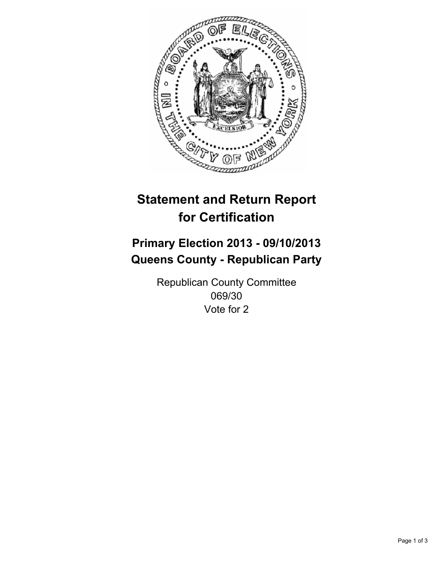

# **Statement and Return Report for Certification**

# **Primary Election 2013 - 09/10/2013 Queens County - Republican Party**

Republican County Committee 069/30 Vote for 2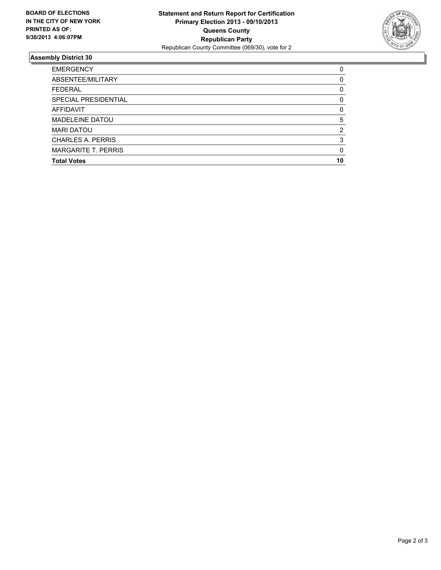

## **Assembly District 30**

| 0        |
|----------|
| 0        |
| 0        |
| 0        |
| 0        |
| 5        |
| 2        |
| 3        |
| $\Omega$ |
| 10       |
|          |